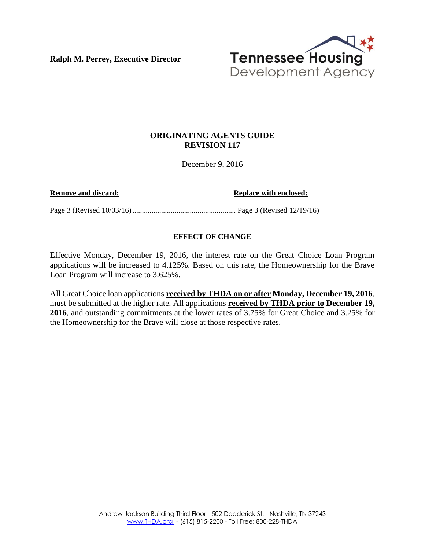**Ralph M. Perrey, Executive Director** 



## **ORIGINATING AGENTS GUIDE REVISION 117**

December 9, 2016

**Remove and discard: Replace with enclosed: Replace with enclosed:** 

Page 3 (Revised 10/03/16) ...................................................... Page 3 (Revised 12/19/16)

## **EFFECT OF CHANGE**

Effective Monday, December 19, 2016, the interest rate on the Great Choice Loan Program applications will be increased to 4.125%. Based on this rate, the Homeownership for the Brave Loan Program will increase to 3.625%.

All Great Choice loan applications **received by THDA on or after Monday, December 19, 2016**, must be submitted at the higher rate. All applications **received by THDA prior to December 19, 2016**, and outstanding commitments at the lower rates of 3.75% for Great Choice and 3.25% for the Homeownership for the Brave will close at those respective rates.